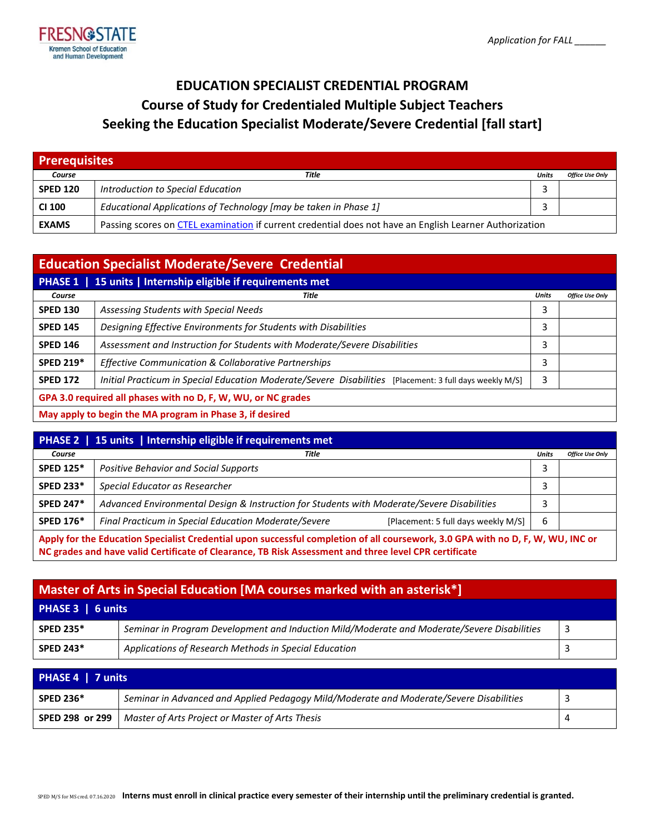

# **EDUCATION SPECIALIST CREDENTIAL PROGRAM Course of Study for Credentialed Multiple Subject Teachers Seeking the Education Specialist Moderate/Severe Credential [fall start]**

| <b>Prerequisites</b> |                                                                                                         |       |                        |
|----------------------|---------------------------------------------------------------------------------------------------------|-------|------------------------|
| Course               | Title                                                                                                   | Units | <b>Office Use Only</b> |
| <b>SPED 120</b>      | Introduction to Special Education                                                                       |       |                        |
| <b>CI 100</b>        | Educational Applications of Technology [may be taken in Phase 1]                                        |       |                        |
| <b>EXAMS</b>         | Passing scores on CTEL examination if current credential does not have an English Learner Authorization |       |                        |

| <b>Education Specialist Moderate/Severe Credential</b>               |                                                                                                         |              |                        |
|----------------------------------------------------------------------|---------------------------------------------------------------------------------------------------------|--------------|------------------------|
| 15 units   Internship eligible if requirements met<br><b>PHASE 1</b> |                                                                                                         |              |                        |
| Course                                                               | Title                                                                                                   | <b>Units</b> | <b>Office Use Only</b> |
| <b>SPED 130</b>                                                      | Assessing Students with Special Needs                                                                   | 3            |                        |
| <b>SPED 145</b>                                                      | Designing Effective Environments for Students with Disabilities                                         | 3            |                        |
| <b>SPED 146</b>                                                      | Assessment and Instruction for Students with Moderate/Severe Disabilities                               | 3            |                        |
| <b>SPED 219*</b>                                                     | Effective Communication & Collaborative Partnerships                                                    | 3            |                        |
| <b>SPED 172</b>                                                      | Initial Practicum in Special Education Moderate/Severe Disabilities [Placement: 3 full days weekly M/S] | 3            |                        |
| GPA 3.0 required all phases with no D, F, W, WU, or NC grades        |                                                                                                         |              |                        |
| May apply to begin the MA program in Phase 3, if desired             |                                                                                                         |              |                        |

| <b>PHASE 2</b> 15 units   Internship eligible if requirements met                                                                                                                                                                        |                                                                                             |              |                        |
|------------------------------------------------------------------------------------------------------------------------------------------------------------------------------------------------------------------------------------------|---------------------------------------------------------------------------------------------|--------------|------------------------|
| Course                                                                                                                                                                                                                                   | Title                                                                                       | <b>Units</b> | <b>Office Use Only</b> |
| <b>SPED 125*</b>                                                                                                                                                                                                                         | Positive Behavior and Social Supports                                                       | 3            |                        |
| <b>SPED 233*</b>                                                                                                                                                                                                                         | Special Educator as Researcher                                                              |              |                        |
| <b>SPED 247*</b>                                                                                                                                                                                                                         | Advanced Environmental Design & Instruction for Students with Moderate/Severe Disabilities  |              |                        |
| <b>SPED 176*</b>                                                                                                                                                                                                                         | Final Practicum in Special Education Moderate/Severe<br>[Placement: 5 full days weekly M/S] | 6            |                        |
| Apply for the Education Specialist Credential upon successful completion of all coursework, 3.0 GPA with no D, F, W, WU, INC or<br>NC grades and have valid Certificate of Clearance, TB Risk Assessment and three level CPR certificate |                                                                                             |              |                        |

| Master of Arts in Special Education [MA courses marked with an asterisk*] |                                                                                             |    |
|---------------------------------------------------------------------------|---------------------------------------------------------------------------------------------|----|
| PHASE 3   6 units                                                         |                                                                                             |    |
| <b>SPED 235*</b>                                                          | Seminar in Program Development and Induction Mild/Moderate and Moderate/Severe Disabilities | -3 |
| <b>SPED 243*</b>                                                          | Applications of Research Methods in Special Education                                       |    |

| PHASE 4   7 units |                                                                                         |  |  |
|-------------------|-----------------------------------------------------------------------------------------|--|--|
| <b>SPED 236*</b>  | Seminar in Advanced and Applied Pedagogy Mild/Moderate and Moderate/Severe Disabilities |  |  |
|                   | <b>SPED 298 or 299</b>   Master of Arts Project or Master of Arts Thesis                |  |  |